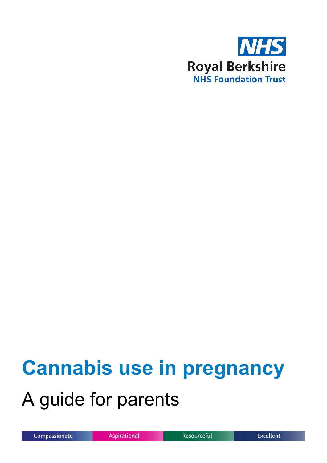

# **Cannabis use in pregnancy** A guide for parents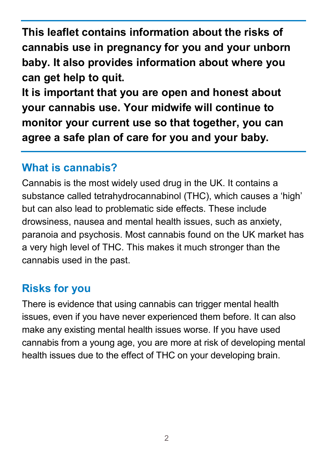**This leaflet contains information about the risks of cannabis use in pregnancy for you and your unborn baby. It also provides information about where you can get help to quit.**

**It is important that you are open and honest about your cannabis use. Your midwife will continue to monitor your current use so that together, you can agree a safe plan of care for you and your baby.**

#### **What is cannabis?**

Cannabis is the most widely used drug in the UK. It contains a substance called tetrahydrocannabinol (THC), which causes a 'high' but can also lead to problematic side effects. These include drowsiness, nausea and mental health issues, such as anxiety, paranoia and psychosis. Most cannabis found on the UK market has a very high level of THC. This makes it much stronger than the cannabis used in the past.

# **Risks for you**

There is evidence that using cannabis can trigger mental health issues, even if you have never experienced them before. It can also make any existing mental health issues worse. If you have used cannabis from a young age, you are more at risk of developing mental health issues due to the effect of THC on your developing brain.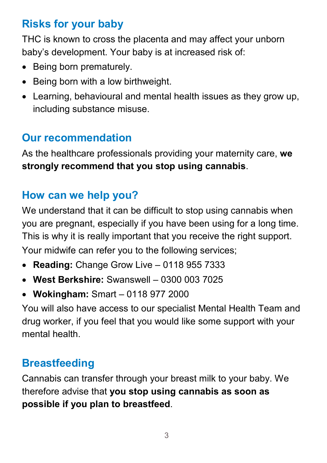# **Risks for your baby**

THC is known to cross the placenta and may affect your unborn baby's development. Your baby is at increased risk of:

- Being born prematurely.
- Being born with a low birthweight.
- Learning, behavioural and mental health issues as they grow up, including substance misuse.

# **Our recommendation**

As the healthcare professionals providing your maternity care, **we strongly recommend that you stop using cannabis**.

# **How can we help you?**

We understand that it can be difficult to stop using cannabis when you are pregnant, especially if you have been using for a long time. This is why it is really important that you receive the right support. Your midwife can refer you to the following services;

- **Reading:** Change Grow Live 0118 955 7333
- **West Berkshire:** Swanswell 0300 003 7025
- **Wokingham:** Smart 0118 977 2000

You will also have access to our specialist Mental Health Team and drug worker, if you feel that you would like some support with your mental health.

# **Breastfeeding**

Cannabis can transfer through your breast milk to your baby. We therefore advise that **you stop using cannabis as soon as possible if you plan to breastfeed**.